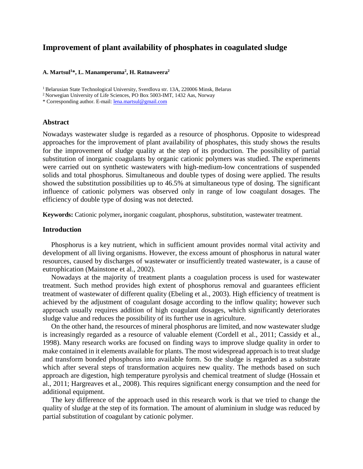# **Improvement of plant availability of phosphates in coagulated sludge**

### **A. Martsul1 \*, L. Manamperuma2 , H. Ratnaweera2**

<sup>1</sup> Belarusian State Technological University, Sverdlova str. 13A, 220006 Minsk, Belarus

2 Norwegian University of Life Sciences, PO Box 5003-IMT, 1432 Aas, Norway

\* Corresponding author. E-mail: [lena.martsul@gmail.com](mailto:lena.martsul@gmail.com)

#### **Abstract**

Nowadays wastewater sludge is regarded as a resource of phosphorus. Opposite to widespread approaches for the improvement of plant availability of phosphates, this study shows the results for the improvement of sludge quality at the step of its production. The possibility of partial substitution of inorganic coagulants by organic cationic polymers was studied. The experiments were carried out on synthetic wastewaters with high-medium-low concentrations of suspended solids and total phosphorus. Simultaneous and double types of dosing were applied. The results showed the substitution possibilities up to 46.5% at simultaneous type of dosing. The significant influence of cationic polymers was observed only in range of low coagulant dosages. The efficiency of double type of dosing was not detected.

**Keywords:** Cationic polymer**,** inorganic coagulant, phosphorus, substitution, wastewater treatment.

# **Introduction**

Phosphorus is a key nutrient, which in sufficient amount provides normal vital activity and development of all living organisms. However, the excess amount of phosphorus in natural water resources, caused by discharges of wastewater or insufficiently treated wastewater, is a cause of eutrophication (Mainstone et al., 2002).

Nowadays at the majority of treatment plants a coagulation process is used for wastewater treatment. Such method provides high extent of phosphorus removal and guarantees efficient treatment of wastewater of different quality (Ebeling et al., 2003). High efficiency of treatment is achieved by the adjustment of coagulant dosage according to the inflow quality; however such approach usually requires addition of high coagulant dosages, which significantly deteriorates sludge value and reduces the possibility of its further use in agriculture.

On the other hand, the resources of mineral phosphorus are limited, and now wastewater sludge is increasingly regarded as a resource of valuable element (Cordell et al., 2011; Cassidy et al., 1998). Many research works are focused on finding ways to improve sludge quality in order to make contained in it elements available for plants. The most widespread approach is to treat sludge and transform bonded phosphorus into available form. So the sludge is regarded as a substrate which after several steps of transformation acquires new quality. The methods based on such approach are digestion, high temperature pyrolysis and chemical treatment of sludge (Hossain et al., 2011; Hargreaves et al., 2008). This requires significant energy consumption and the need for additional equipment.

The key difference of the approach used in this research work is that we tried to change the quality of sludge at the step of its formation. The amount of aluminium in sludge was reduced by partial substitution of coagulant by cationic polymer.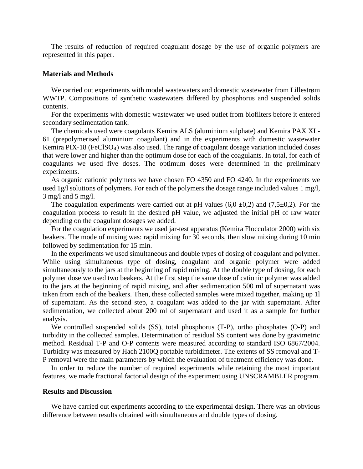The results of reduction of required coagulant dosage by the use of organic polymers are represented in this paper.

## **Materials and Methods**

We carried out experiments with model wastewaters and domestic wastewater from Lillestrøm WWTP. Compositions of synthetic wastewaters differed by phosphorus and suspended solids contents.

For the experiments with domestic wastewater we used outlet from biofilters before it entered secondary sedimentation tank.

The chemicals used were coagulants Kemira ALS (aluminium sulphate) and Kemira PAX XL-61 (prepolymerised aluminium coagulant) and in the experiments with domestic wastewater Kemira PIX-18 (FeClSO4) was also used. The range of coagulant dosage variation included doses that were lower and higher than the optimum dose for each of the coagulants. In total, for each of coagulants we used five doses. The optimum doses were determined in the preliminary experiments.

As organic cationic polymers we have chosen FO 4350 and FO 4240. In the experiments we used 1g/l solutions of polymers. For each of the polymers the dosage range included values 1 mg/l, 3 mg/l and 5 mg/l.

The coagulation experiments were carried out at pH values  $(6,0 \pm 0,2)$  and  $(7,5\pm 0,2)$ . For the coagulation process to result in the desired pH value, we adjusted the initial pH of raw water depending on the coagulant dosages we added.

For the coagulation experiments we used jar-test apparatus (Kemira Flocculator 2000) with six beakers. The mode of mixing was: rapid mixing for 30 seconds, then slow mixing during 10 min followed by sedimentation for 15 min.

In the experiments we used simultaneous and double types of dosing of coagulant and polymer. While using simultaneous type of dosing, coagulant and organic polymer were added simultaneously to the jars at the beginning of rapid mixing. At the double type of dosing, for each polymer dose we used two beakers. At the first step the same dose of cationic polymer was added to the jars at the beginning of rapid mixing, and after sedimentation 500 ml of supernatant was taken from each of the beakers. Then, these collected samples were mixed together, making up 1l of supernatant. As the second step, a coagulant was added to the jar with supernatant. After sedimentation, we collected about 200 ml of supernatant and used it as a sample for further analysis.

We controlled suspended solids (SS), total phosphorus (T-P), ortho phosphates (O-P) and turbidity in the collected samples. Determination of residual SS content was done by gravimetric method. Residual T-P and O-P contents were measured according to standard ISO 6867/2004. Turbidity was measured by Hach 2100Q portable turbidimeter. The extents of SS removal and T-P removal were the main parameters by which the evaluation of treatment efficiency was done.

In order to reduce the number of required experiments while retaining the most important features, we made fractional factorial design of the experiment using UNSCRAMBLER program.

# **Results and Discussion**

We have carried out experiments according to the experimental design. There was an obvious difference between results obtained with simultaneous and double types of dosing.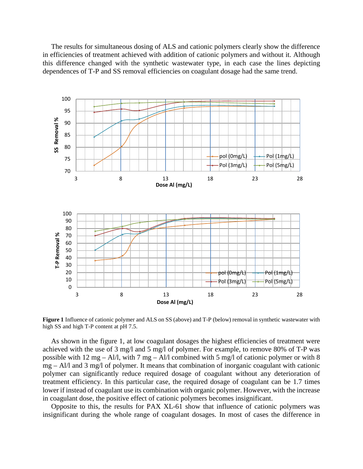The results for simultaneous dosing of ALS and cationic polymers clearly show the difference in efficiencies of treatment achieved with addition of cationic polymers and without it. Although this difference changed with the synthetic wastewater type, in each case the lines depicting dependences of T-P and SS removal efficiencies on coagulant dosage had the same trend.



**Figure 1** Influence of cationic polymer and ALS on SS (above) and T-P (below) removal in synthetic wastewater with high SS and high T-P content at pH 7.5.

As shown in the figure 1, at low coagulant dosages the highest efficiencies of treatment were achieved with the use of 3 mg/l and 5 mg/l of polymer. For example, to remove 80% of T-P was possible with 12 mg – Al/l, with 7 mg – Al/l combined with 5 mg/l of cationic polymer or with 8 mg – Al/l and 3 mg/l of polymer. It means that combination of inorganic coagulant with cationic polymer can significantly reduce required dosage of coagulant without any deterioration of treatment efficiency. In this particular case, the required dosage of coagulant can be 1.7 times lower if instead of coagulant use its combination with organic polymer. However, with the increase in coagulant dose, the positive effect of cationic polymers becomes insignificant.

Opposite to this, the results for PAX XL-61 show that influence of cationic polymers was insignificant during the whole range of coagulant dosages. In most of cases the difference in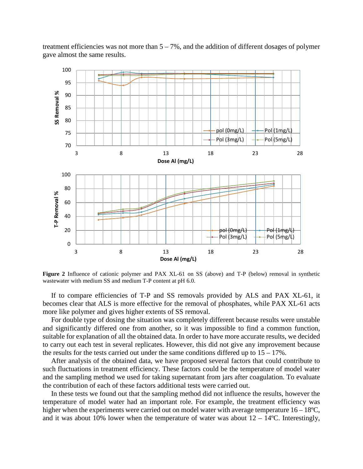treatment efficiencies was not more than  $5 - 7\%$ , and the addition of different dosages of polymer gave almost the same results.



**Figure 2** Influence of cationic polymer and PAX XL-61 on SS (above) and T-P (below) removal in synthetic wastewater with medium SS and medium T-P content at pH 6.0.

If to compare efficiencies of T-P and SS removals provided by ALS and PAX XL-61, it becomes clear that ALS is more effective for the removal of phosphates, while PAX XL-61 acts more like polymer and gives higher extents of SS removal.

For double type of dosing the situation was completely different because results were unstable and significantly differed one from another, so it was impossible to find a common function, suitable for explanation of all the obtained data. In order to have more accurate results, we decided to carry out each test in several replicates. However, this did not give any improvement because the results for the tests carried out under the same conditions differed up to  $15 - 17\%$ .

After analysis of the obtained data, we have proposed several factors that could contribute to such fluctuations in treatment efficiency. These factors could be the temperature of model water and the sampling method we used for taking supernatant from jars after coagulation. To evaluate the contribution of each of these factors additional tests were carried out.

In these tests we found out that the sampling method did not influence the results, however the temperature of model water had an important role. For example, the treatment efficiency was higher when the experiments were carried out on model water with average temperature  $16 - 18$ °C, and it was about 10% lower when the temperature of water was about  $12 - 14$ °C. Interestingly,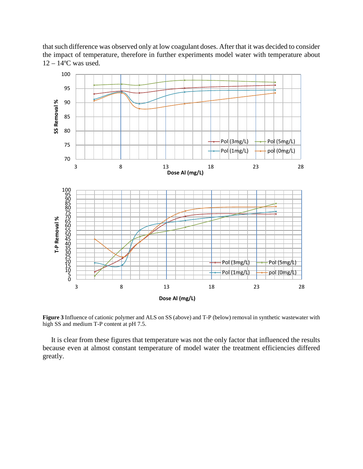that such difference was observed only at low coagulant doses. After that it was decided to consider the impact of temperature, therefore in further experiments model water with temperature about  $12 - 14$ <sup>o</sup>C was used.



**Figure 3** Influence of cationic polymer and ALS on SS (above) and T-P (below) removal in synthetic wastewater with high SS and medium T-P content at pH 7.5.

It is clear from these figures that temperature was not the only factor that influenced the results because even at almost constant temperature of model water the treatment efficiencies differed greatly.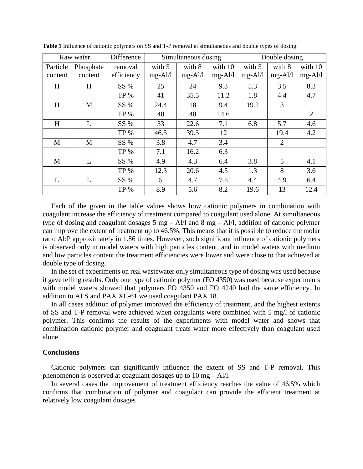| Raw water           |                      | Difference            | Simultaneous dosing |                     |                      | Double dosing       |                     |                    |
|---------------------|----------------------|-----------------------|---------------------|---------------------|----------------------|---------------------|---------------------|--------------------|
| Particle<br>content | Phosphate<br>content | removal<br>efficiency | with 5<br>$mg-Al/l$ | with 8<br>$mg-Al/l$ | with 10<br>$mg-Al/l$ | with 5<br>$mg-Al/1$ | with 8<br>$mg-Al/l$ | with 10<br>mg-Al/l |
| H                   | H                    | SS %                  | 25                  | 24                  | 9.3                  | 5.3                 | 3.5                 | 8.3                |
|                     |                      | <b>TP %</b>           | 41                  | 35.5                | 11.2                 | 1.8                 | 4.4                 | 4.7                |
| H                   | M                    | SS %                  | 24.4                | 18                  | 9.4                  | 19.2                | 3                   |                    |
|                     |                      | <b>TP %</b>           | 40                  | 40                  | 14.6                 |                     |                     | $\overline{2}$     |
| H                   | L                    | SS %                  | 33                  | 22.6                | 7.1                  | 6.8                 | 5.7                 | 4.6                |
|                     |                      | TP %                  | 46.5                | 39.5                | 12                   |                     | 19.4                | 4.2                |
| M                   | M                    | SS %                  | 3.8                 | 4.7                 | 3.4                  |                     | 2                   |                    |
|                     |                      | <b>TP %</b>           | 7.1                 | 16.2                | 6.3                  |                     |                     |                    |
| M                   | L                    | SS %                  | 4.9                 | 4.3                 | 6.4                  | 3.8                 | 5                   | 4.1                |
|                     |                      | <b>TP %</b>           | 12.3                | 20.6                | 4.5                  | 1.3                 | 8                   | 3.6                |
| L                   | L                    | SS %                  | 5                   | 4.7                 | 7.5                  | 4.4                 | 4.9                 | 6.4                |
|                     |                      | <b>TP %</b>           | 8.9                 | 5.6                 | 8.2                  | 19.6                | 13                  | 12.4               |

**Table 1** Influence of cationic polymers on SS and T-P removal at simultaneous and double types of dosing.

Each of the given in the table values shows how cationic polymers in combination with coagulant increase the efficiency of treatment compared to coagulant used alone. At simultaneous type of dosing and coagulant dosages  $5 \text{ mg} - Al/l$  and  $8 \text{ mg} - Al/l$ , addition of cationic polymer can improve the extent of treatment up to 46.5%. This means that it is possible to reduce the molar ratio Al:P approximately in 1.86 times. However, such significant influence of cationic polymers is observed only in model waters with high particles content, and in model waters with medium and low particles content the treatment efficiencies were lower and were close to that achieved at double type of dosing.

In the set of experiments on real wastewater only simultaneous type of dosing was used because it gave telling results. Only one type of cationic polymer (FO 4350) was used because experiments with model waters showed that polymers FO 4350 and FO 4240 had the same efficiency. In addition to ALS and PAX XL-61 we used coagulant PAX 18.

In all cases addition of polymer improved the efficiency of treatment, and the highest extents of SS and T-P removal were achieved when coagulants were combined with 5 mg/l of cationic polymer. This confirms the results of the experiments with model water and shows that combination cationic polymer and coagulant treats water more effectively than coagulant used alone.

### **Conclusions**

Cationic polymers can significantly influence the extent of SS and T-P removal. This phenomenon is observed at coagulant dosages up to 10 mg – Al/l.

In several cases the improvement of treatment efficiency reaches the value of 46.5% which confirms that combination of polymer and coagulant can provide the efficient treatment at relatively low coagulant dosages